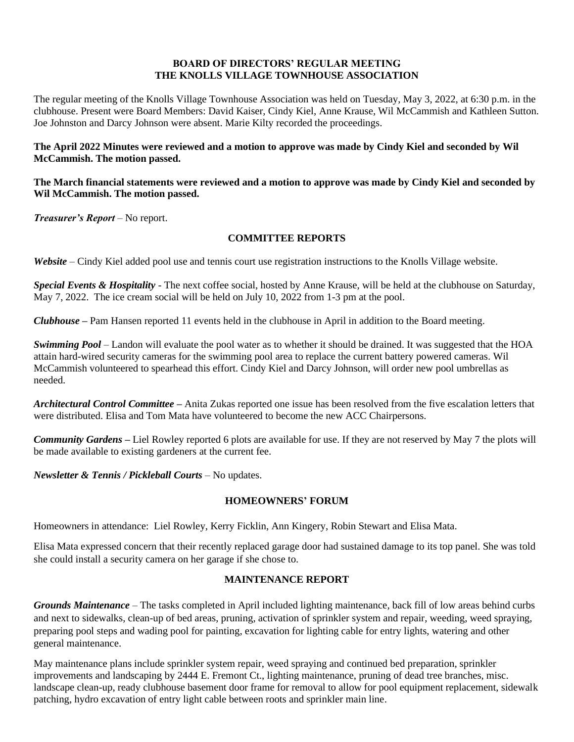### **BOARD OF DIRECTORS' REGULAR MEETING THE KNOLLS VILLAGE TOWNHOUSE ASSOCIATION**

The regular meeting of the Knolls Village Townhouse Association was held on Tuesday, May 3, 2022, at 6:30 p.m. in the clubhouse. Present were Board Members: David Kaiser, Cindy Kiel, Anne Krause, Wil McCammish and Kathleen Sutton. Joe Johnston and Darcy Johnson were absent. Marie Kilty recorded the proceedings.

### **The April 2022 Minutes were reviewed and a motion to approve was made by Cindy Kiel and seconded by Wil McCammish. The motion passed.**

### **The March financial statements were reviewed and a motion to approve was made by Cindy Kiel and seconded by Wil McCammish. The motion passed.**

*Treasurer's Report* – No report.

## **COMMITTEE REPORTS**

*Website* – Cindy Kiel added pool use and tennis court use registration instructions to the Knolls Village website.

*Special Events & Hospitality* - The next coffee social, hosted by Anne Krause, will be held at the clubhouse on Saturday, May 7, 2022. The ice cream social will be held on July 10, 2022 from 1-3 pm at the pool.

*Clubhouse* **–** Pam Hansen reported 11 events held in the clubhouse in April in addition to the Board meeting.

*Swimming Pool* – Landon will evaluate the pool water as to whether it should be drained. It was suggested that the HOA attain hard-wired security cameras for the swimming pool area to replace the current battery powered cameras. Wil McCammish volunteered to spearhead this effort. Cindy Kiel and Darcy Johnson, will order new pool umbrellas as needed.

*Architectural Control Committee* **–** Anita Zukas reported one issue has been resolved from the five escalation letters that were distributed. Elisa and Tom Mata have volunteered to become the new ACC Chairpersons.

*Community Gardens* **–** Liel Rowley reported 6 plots are available for use. If they are not reserved by May 7 the plots will be made available to existing gardeners at the current fee.

*Newsletter & Tennis / Pickleball Courts –* No updates.

# **HOMEOWNERS' FORUM**

Homeowners in attendance: Liel Rowley, Kerry Ficklin, Ann Kingery, Robin Stewart and Elisa Mata.

Elisa Mata expressed concern that their recently replaced garage door had sustained damage to its top panel. She was told she could install a security camera on her garage if she chose to.

# **MAINTENANCE REPORT**

*Grounds Maintenance –* The tasks completed in April included lighting maintenance, back fill of low areas behind curbs and next to sidewalks, clean-up of bed areas, pruning, activation of sprinkler system and repair, weeding, weed spraying, preparing pool steps and wading pool for painting, excavation for lighting cable for entry lights, watering and other general maintenance.

May maintenance plans include sprinkler system repair, weed spraying and continued bed preparation, sprinkler improvements and landscaping by 2444 E. Fremont Ct., lighting maintenance, pruning of dead tree branches, misc. landscape clean-up, ready clubhouse basement door frame for removal to allow for pool equipment replacement, sidewalk patching, hydro excavation of entry light cable between roots and sprinkler main line.